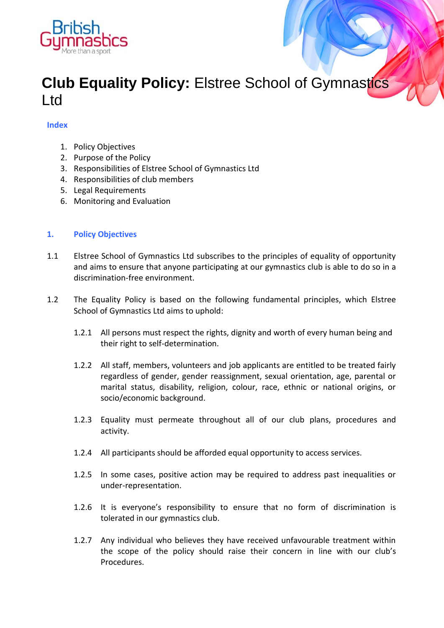

# **Club Equality Policy:** Elstree School of Gymnastics Ltd

# **Index**

- 1. Policy Objectives
- 2. Purpose of the Policy
- 3. Responsibilities of Elstree School of Gymnastics Ltd
- 4. Responsibilities of club members
- 5. Legal Requirements
- 6. Monitoring and Evaluation

# **1. Policy Objectives**

- 1.1 Elstree School of Gymnastics Ltd subscribes to the principles of equality of opportunity and aims to ensure that anyone participating at our gymnastics club is able to do so in a discrimination-free environment.
- 1.2 The Equality Policy is based on the following fundamental principles, which Elstree School of Gymnastics Ltd aims to uphold:
	- 1.2.1 All persons must respect the rights, dignity and worth of every human being and their right to self-determination.
	- 1.2.2 All staff, members, volunteers and job applicants are entitled to be treated fairly regardless of gender, gender reassignment, sexual orientation, age, parental or marital status, disability, religion, colour, race, ethnic or national origins, or socio/economic background.
	- 1.2.3 Equality must permeate throughout all of our club plans, procedures and activity.
	- 1.2.4 All participants should be afforded equal opportunity to access services.
	- 1.2.5 In some cases, positive action may be required to address past inequalities or under-representation.
	- 1.2.6 It is everyone's responsibility to ensure that no form of discrimination is tolerated in our gymnastics club.
	- 1.2.7 Any individual who believes they have received unfavourable treatment within the scope of the policy should raise their concern in line with our club's Procedures.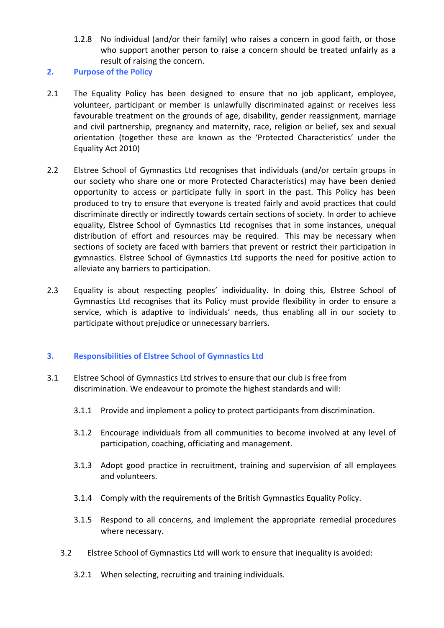- 1.2.8 No individual (and/or their family) who raises a concern in good faith, or those who support another person to raise a concern should be treated unfairly as a result of raising the concern.
- **2. Purpose of the Policy**
- 2.1 The Equality Policy has been designed to ensure that no job applicant, employee, volunteer, participant or member is unlawfully discriminated against or receives less favourable treatment on the grounds of age, disability, gender reassignment, marriage and civil partnership, pregnancy and maternity, race, religion or belief, sex and sexual orientation (together these are known as the 'Protected Characteristics' under the Equality Act 2010)
- 2.2 Elstree School of Gymnastics Ltd recognises that individuals (and/or certain groups in our society who share one or more Protected Characteristics) may have been denied opportunity to access or participate fully in sport in the past. This Policy has been produced to try to ensure that everyone is treated fairly and avoid practices that could discriminate directly or indirectly towards certain sections of society. In order to achieve equality, Elstree School of Gymnastics Ltd recognises that in some instances, unequal distribution of effort and resources may be required. This may be necessary when sections of society are faced with barriers that prevent or restrict their participation in gymnastics. Elstree School of Gymnastics Ltd supports the need for positive action to alleviate any barriers to participation.
- 2.3 Equality is about respecting peoples' individuality. In doing this, Elstree School of Gymnastics Ltd recognises that its Policy must provide flexibility in order to ensure a service, which is adaptive to individuals' needs, thus enabling all in our society to participate without prejudice or unnecessary barriers.

# **3. Responsibilities of Elstree School of Gymnastics Ltd**

- 3.1 Elstree School of Gymnastics Ltd strives to ensure that our club is free from discrimination. We endeavour to promote the highest standards and will:
	- 3.1.1 Provide and implement a policy to protect participants from discrimination.
	- 3.1.2 Encourage individuals from all communities to become involved at any level of participation, coaching, officiating and management.
	- 3.1.3 Adopt good practice in recruitment, training and supervision of all employees and volunteers.
	- 3.1.4 Comply with the requirements of the British Gymnastics Equality Policy.
	- 3.1.5 Respond to all concerns, and implement the appropriate remedial procedures where necessary.
	- 3.2 Elstree School of Gymnastics Ltd will work to ensure that inequality is avoided:
		- 3.2.1 When selecting, recruiting and training individuals.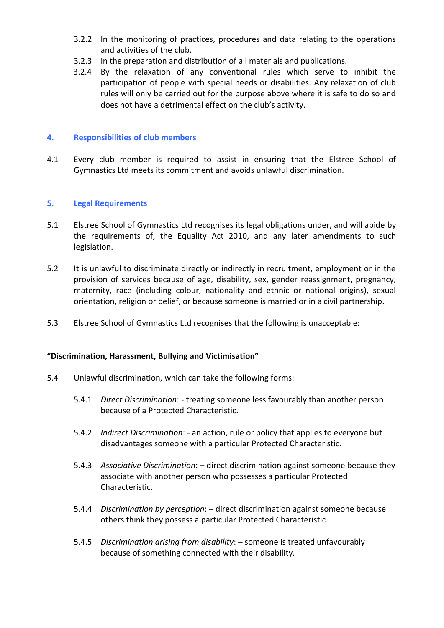- 3.2.2 In the monitoring of practices, procedures and data relating to the operations and activities of the club.
- 3.2.3 In the preparation and distribution of all materials and publications.
- 3.2.4 By the relaxation of any conventional rules which serve to inhibit the participation of people with special needs or disabilities. Any relaxation of club rules will only be carried out for the purpose above where it is safe to do so and does not have a detrimental effect on the club's activity.

#### **4. Responsibilities of club members**

4.1 Every club member is required to assist in ensuring that the Elstree School of Gymnastics Ltd meets its commitment and avoids unlawful discrimination.

#### **5. Legal Requirements**

- 5.1 Elstree School of Gymnastics Ltd recognises its legal obligations under, and will abide by the requirements of, the Equality Act 2010, and any later amendments to such legislation.
- 5.2 It is unlawful to discriminate directly or indirectly in recruitment, employment or in the provision of services because of age, disability, sex, gender reassignment, pregnancy, maternity, race (including colour, nationality and ethnic or national origins), sexual orientation, religion or belief, or because someone is married or in a civil partnership.
- 5.3 Elstree School of Gymnastics Ltd recognises that the following is unacceptable:

#### **"Discrimination, Harassment, Bullying and Victimisation"**

- 5.4 Unlawful discrimination, which can take the following forms:
	- 5.4.1 *Direct Discrimination*: treating someone less favourably than another person because of a Protected Characteristic.
	- 5.4.2 *Indirect Discrimination*: an action, rule or policy that applies to everyone but disadvantages someone with a particular Protected Characteristic.
	- 5.4.3 *Associative Discrimination*: direct discrimination against someone because they associate with another person who possesses a particular Protected Characteristic.
	- 5.4.4 *Discrimination by perception*: direct discrimination against someone because others think they possess a particular Protected Characteristic.
	- 5.4.5 *Discrimination arising from disability*: someone is treated unfavourably because of something connected with their disability.